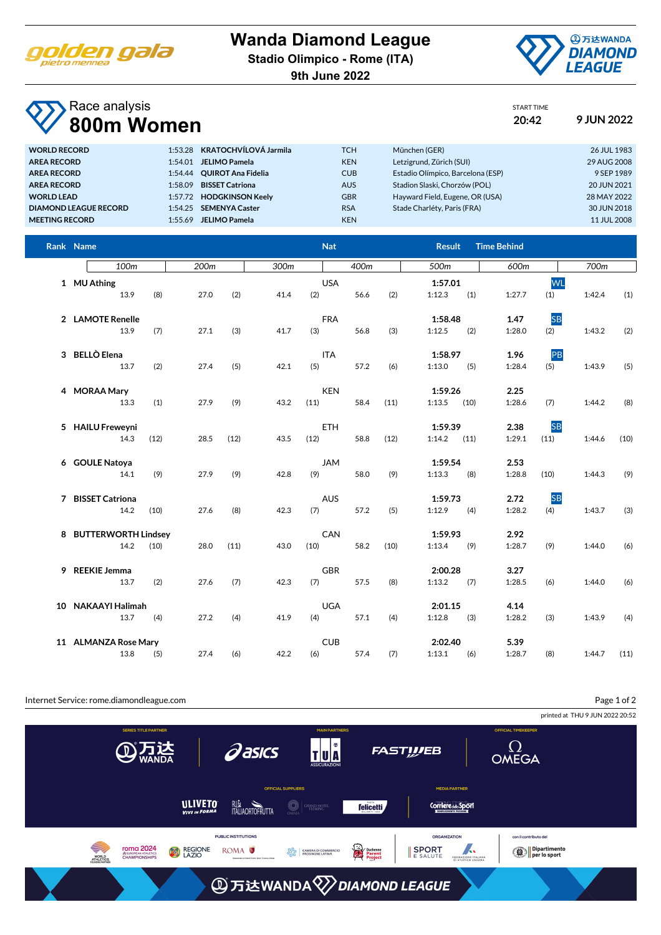

**Wanda Diamond League**

**Stadio Olimpico - Rome (ITA)**

**9th June 2022**



START TIME

## Race analysis **800m Women 20:42 9 JUN 2022**

| 1:53.28 KRATOCHVÍLOVÁ Jarmila<br><b>TCH</b><br><b>WORLD RECORD</b><br>München (GER)                           | 26 JUL 1983 |
|---------------------------------------------------------------------------------------------------------------|-------------|
| Letzigrund, Zürich (SUI)<br><b>KEN</b><br><b>JELIMO Pamela</b><br><b>AREA RECORD</b><br>1:54.01               | 29 AUG 2008 |
| <b>CUB</b><br>Estadio Olímpico, Barcelona (ESP)<br><b>OUIROT Ana Fidelia</b><br><b>AREA RECORD</b><br>1:54.44 | 9 SEP 1989  |
| <b>AUS</b><br><b>BISSET Catriona</b><br>Stadion Slaski, Chorzów (POL)<br><b>AREA RECORD</b><br>1:58.09        | 20 JUN 2021 |
| <b>GBR</b><br>Hayward Field, Eugene, OR (USA)<br><b>WORLD LEAD</b><br><b>HODGKINSON Keelv</b><br>1:57.72      | 28 MAY 2022 |
| <b>RSA</b><br>Stade Charléty, Paris (FRA)<br>1:54.25 SEMENYA Caster<br><b>DIAMOND LEAGUE RECORD</b>           | 30 JUN 2018 |
| <b>KEN</b><br><b>JELIMO Pamela</b><br><b>MEETING RECORD</b><br>1:55.69                                        | 11 JUL 2008 |

| Rank Name                     |      |                  |      |      |      | <b>Nat</b>         |      | <b>Result</b>             | <b>Time Behind</b>                  |                            |
|-------------------------------|------|------------------|------|------|------|--------------------|------|---------------------------|-------------------------------------|----------------------------|
| 100 <sub>m</sub>              |      | 200 <sub>m</sub> |      | 300m |      | 400m               |      | 500m                      | 600m                                | 700m                       |
| 1 MU Athing<br>13.9           | (8)  | 27.0             | (2)  | 41.4 | (2)  | <b>USA</b><br>56.6 | (2)  | 1:57.01<br>(1)<br>1:12.3  | 1:27.7<br>(1)                       | <b>WL</b><br>1:42.4<br>(1) |
| 2 LAMOTE Renelle<br>13.9      | (7)  | 27.1             | (3)  | 41.7 | (3)  | <b>FRA</b><br>56.8 | (3)  | 1:58.48<br>1:12.5<br>(2)  | <b>SB</b><br>1.47<br>1:28.0<br>(2)  | 1:43.2<br>(2)              |
| 3 BELLÒ Elena<br>13.7         | (2)  | 27.4             | (5)  | 42.1 | (5)  | <b>ITA</b><br>57.2 | (6)  | 1:58.97<br>1:13.0<br>(5)  | PB<br>1.96<br>1:28.4<br>(5)         | 1:43.9<br>(5)              |
| 4 MORAA Mary<br>13.3          | (1)  | 27.9             | (9)  | 43.2 | (11) | <b>KEN</b><br>58.4 | (11) | 1:59.26<br>1:13.5<br>(10) | 2.25<br>1:28.6<br>(7)               | 1:44.2<br>(8)              |
| 5 HAILU Freweyni<br>14.3      | (12) | 28.5             | (12) | 43.5 | (12) | <b>ETH</b><br>58.8 | (12) | 1:59.39<br>1:14.2<br>(11) | <b>SB</b><br>2.38<br>1:29.1<br>(11) | 1:44.6<br>(10)             |
| 6 GOULE Natoya<br>14.1        | (9)  | 27.9             | (9)  | 42.8 | (9)  | <b>JAM</b><br>58.0 | (9)  | 1:59.54<br>1:13.3<br>(8)  | 2.53<br>1:28.8<br>(10)              | 1:44.3<br>(9)              |
| 7 BISSET Catriona<br>14.2     | (10) | 27.6             | (8)  | 42.3 | (7)  | <b>AUS</b><br>57.2 | (5)  | 1:59.73<br>1:12.9<br>(4)  | <b>SB</b><br>2.72<br>1:28.2<br>(4)  | 1:43.7<br>(3)              |
| 8 BUTTERWORTH Lindsey<br>14.2 | (10) | 28.0             | (11) | 43.0 | (10) | CAN<br>58.2        | (10) | 1:59.93<br>1:13.4<br>(9)  | 2.92<br>1:28.7<br>(9)               | (6)<br>1:44.0              |
| 9 REEKIE Jemma<br>13.7        | (2)  | 27.6             | (7)  | 42.3 | (7)  | <b>GBR</b><br>57.5 | (8)  | 2:00.28<br>1:13.2<br>(7)  | 3.27<br>1:28.5<br>(6)               | 1:44.0<br>(6)              |
| 10 NAKAAYI Halimah<br>13.7    | (4)  | 27.2             | (4)  | 41.9 | (4)  | <b>UGA</b><br>57.1 | (4)  | 2:01.15<br>1:12.8<br>(3)  | 4.14<br>1:28.2<br>(3)               | 1:43.9<br>(4)              |
| 11 ALMANZA Rose Mary<br>13.8  | (5)  | 27.4             | (6)  | 42.2 | (6)  | <b>CUB</b><br>57.4 | (7)  | 2:02.40<br>1:13.1<br>(6)  | 5.39<br>1:28.7<br>(8)               | 1:44.7<br>(11)             |

Internet Service: rome.diamondleague.com

Page 1 of 2

printed at THU 9 JUN 2022 20:52